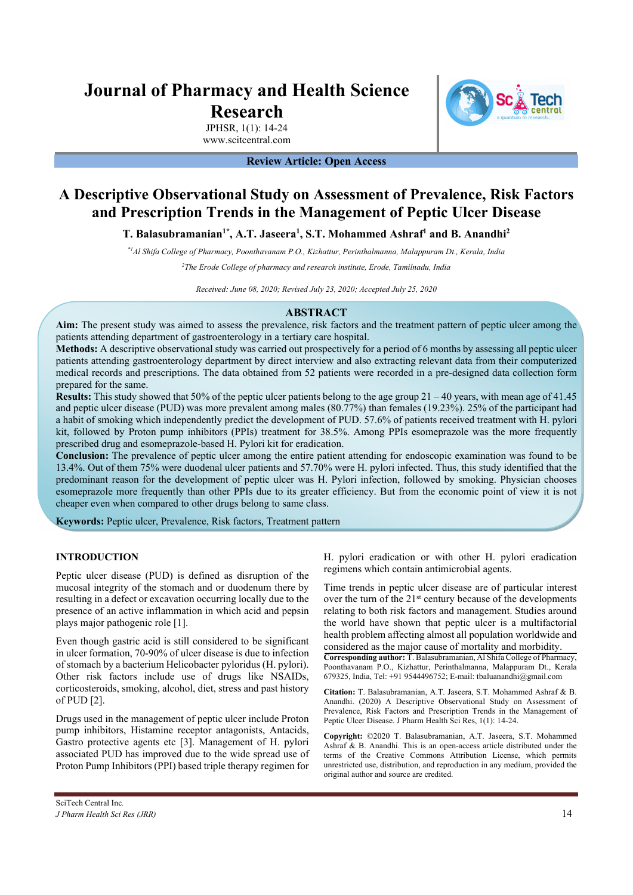# **Journal of Pharmacy and Health Science Research**

JPHSR, 1(1): 14-24 www.scitcentral.com

**Review Article: Open Access** 

# **A Descriptive Observational Study on Assessment of Prevalence, Risk Factors and Prescription Trends in the Management of Peptic Ulcer Disease**

T. Balasubramanian<sup>1\*</sup>, A.T. Jaseera<sup>1</sup>, S.T. Mohammed Ashraf<sup>1</sup> and B. Anandhi<sup>2</sup>

*\*1Al Shifa College of Pharmacy, Poonthavanam P.O., Kizhattur, Perinthalmanna, Malappuram Dt., Kerala, India* 

*2 The Erode College of pharmacy and research institute, Erode, Tamilnadu, India* 

*Received: June 08, 2020; Revised July 23, 2020; Accepted July 25, 2020* 

# **ABSTRACT**

**Aim:** The present study was aimed to assess the prevalence, risk factors and the treatment pattern of peptic ulcer among the patients attending department of gastroenterology in a tertiary care hospital.

**Methods:** A descriptive observational study was carried out prospectively for a period of 6 months by assessing all peptic ulcer patients attending gastroenterology department by direct interview and also extracting relevant data from their computerized medical records and prescriptions. The data obtained from 52 patients were recorded in a pre-designed data collection form prepared for the same.

**Results:** This study showed that 50% of the peptic ulcer patients belong to the age group 21 – 40 years, with mean age of 41.45 and peptic ulcer disease (PUD) was more prevalent among males (80.77%) than females (19.23%). 25% of the participant had a habit of smoking which independently predict the development of PUD. 57.6% of patients received treatment with H. pylori kit, followed by Proton pump inhibitors (PPIs) treatment for 38.5%. Among PPIs esomeprazole was the more frequently prescribed drug and esomeprazole-based H. Pylori kit for eradication.

**Conclusion:** The prevalence of peptic ulcer among the entire patient attending for endoscopic examination was found to be 13.4%. Out of them 75% were duodenal ulcer patients and 57.70% were H. pylori infected. Thus, this study identified that the predominant reason for the development of peptic ulcer was H. Pylori infection, followed by smoking. Physician chooses esomeprazole more frequently than other PPIs due to its greater efficiency. But from the economic point of view it is not cheaper even when compared to other drugs belong to same class.

**Keywords:** Peptic ulcer, Prevalence, Risk factors, Treatment pattern

# **INTRODUCTION**

Peptic ulcer disease (PUD) is defined as disruption of the mucosal integrity of the stomach and or duodenum there by resulting in a defect or excavation occurring locally due to the presence of an active inflammation in which acid and pepsin plays major pathogenic role [1].

Even though gastric acid is still considered to be significant in ulcer formation, 70-90% of ulcer disease is due to infection of stomach by a bacterium Helicobacter pyloridus (H. pylori). Other risk factors include use of drugs like NSAIDs, corticosteroids, smoking, alcohol, diet, stress and past history of PUD [2].

Drugs used in the management of peptic ulcer include Proton pump inhibitors, Histamine receptor antagonists, Antacids, Gastro protective agents etc [3]. Management of H. pylori associated PUD has improved due to the wide spread use of Proton Pump Inhibitors (PPI) based triple therapy regimen for

H. pylori eradication or with other H. pylori eradication regimens which contain antimicrobial agents.

Time trends in peptic ulcer disease are of particular interest over the turn of the 21<sup>st</sup> century because of the developments relating to both risk factors and management. Studies around the world have shown that peptic ulcer is a multifactorial health problem affecting almost all population worldwide and considered as the major cause of mortality and morbidity.

**Corresponding author:** T. Balasubramanian, Al Shifa College of Pharmacy, Poonthavanam P.O., Kizhattur, Perinthalmanna, Malappuram Dt., Kerala 679325, India, Tel: +91 9544496752; E-mail: tbaluanandhi@gmail.com

**Citation:** T. Balasubramanian, A.T. Jaseera, S.T. Mohammed Ashraf & B. Anandhi. (2020) A Descriptive Observational Study on Assessment of Prevalence, Risk Factors and Prescription Trends in the Management of Peptic Ulcer Disease. J Pharm Health Sci Res, 1(1): 14-24.

**Copyright:** ©2020 T. Balasubramanian, A.T. Jaseera, S.T. Mohammed Ashraf & B. Anandhi. This is an open-access article distributed under the terms of the Creative Commons Attribution License, which permits unrestricted use, distribution, and reproduction in any medium, provided the original author and source are credited.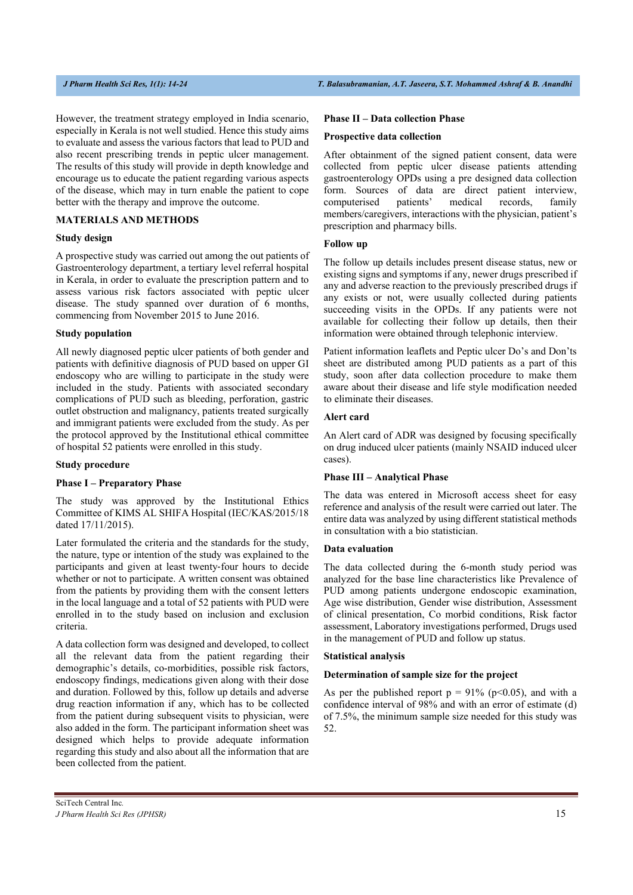However, the treatment strategy employed in India scenario, especially in Kerala is not well studied. Hence this study aims to evaluate and assess the various factors that lead to PUD and also recent prescribing trends in peptic ulcer management. The results of this study will provide in depth knowledge and encourage us to educate the patient regarding various aspects of the disease, which may in turn enable the patient to cope better with the therapy and improve the outcome.

# **MATERIALS AND METHODS**

# **Study design**

A prospective study was carried out among the out patients of Gastroenterology department, a tertiary level referral hospital in Kerala, in order to evaluate the prescription pattern and to assess various risk factors associated with peptic ulcer disease. The study spanned over duration of 6 months, commencing from November 2015 to June 2016.

### **Study population**

All newly diagnosed peptic ulcer patients of both gender and patients with definitive diagnosis of PUD based on upper GI endoscopy who are willing to participate in the study were included in the study. Patients with associated secondary complications of PUD such as bleeding, perforation, gastric outlet obstruction and malignancy, patients treated surgically and immigrant patients were excluded from the study. As per the protocol approved by the Institutional ethical committee of hospital 52 patients were enrolled in this study.

## **Study procedure**

### **Phase I – Preparatory Phase**

The study was approved by the Institutional Ethics Committee of KIMS AL SHIFA Hospital (IEC/KAS/2015/18 dated 17/11/2015).

Later formulated the criteria and the standards for the study, the nature, type or intention of the study was explained to the participants and given at least twenty‐four hours to decide whether or not to participate. A written consent was obtained from the patients by providing them with the consent letters in the local language and a total of 52 patients with PUD were enrolled in to the study based on inclusion and exclusion criteria.

A data collection form was designed and developed, to collect all the relevant data from the patient regarding their demographic's details, co-morbidities, possible risk factors, endoscopy findings, medications given along with their dose and duration. Followed by this, follow up details and adverse drug reaction information if any, which has to be collected from the patient during subsequent visits to physician, were also added in the form. The participant information sheet was designed which helps to provide adequate information regarding this study and also about all the information that are been collected from the patient.

# **Phase II – Data collection Phase**

#### **Prospective data collection**

After obtainment of the signed patient consent, data were collected from peptic ulcer disease patients attending gastroenterology OPDs using a pre designed data collection form. Sources of data are direct patient interview, computerised patients' medical records, family members/caregivers, interactions with the physician, patient's prescription and pharmacy bills.

# **Follow up**

The follow up details includes present disease status, new or existing signs and symptoms if any, newer drugs prescribed if any and adverse reaction to the previously prescribed drugs if any exists or not, were usually collected during patients succeeding visits in the OPDs. If any patients were not available for collecting their follow up details, then their information were obtained through telephonic interview.

Patient information leaflets and Peptic ulcer Do's and Don'ts sheet are distributed among PUD patients as a part of this study, soon after data collection procedure to make them aware about their disease and life style modification needed to eliminate their diseases.

# **Alert card**

An Alert card of ADR was designed by focusing specifically on drug induced ulcer patients (mainly NSAID induced ulcer cases).

# **Phase III – Analytical Phase**

The data was entered in Microsoft access sheet for easy reference and analysis of the result were carried out later. The entire data was analyzed by using different statistical methods in consultation with a bio statistician.

#### **Data evaluation**

The data collected during the 6-month study period was analyzed for the base line characteristics like Prevalence of PUD among patients undergone endoscopic examination, Age wise distribution, Gender wise distribution, Assessment of clinical presentation, Co morbid conditions, Risk factor assessment, Laboratory investigations performed, Drugs used in the management of PUD and follow up status.

#### **Statistical analysis**

# **Determination of sample size for the project**

As per the published report  $p = 91\%$  (p<0.05), and with a confidence interval of 98% and with an error of estimate (d) of 7.5%, the minimum sample size needed for this study was 52.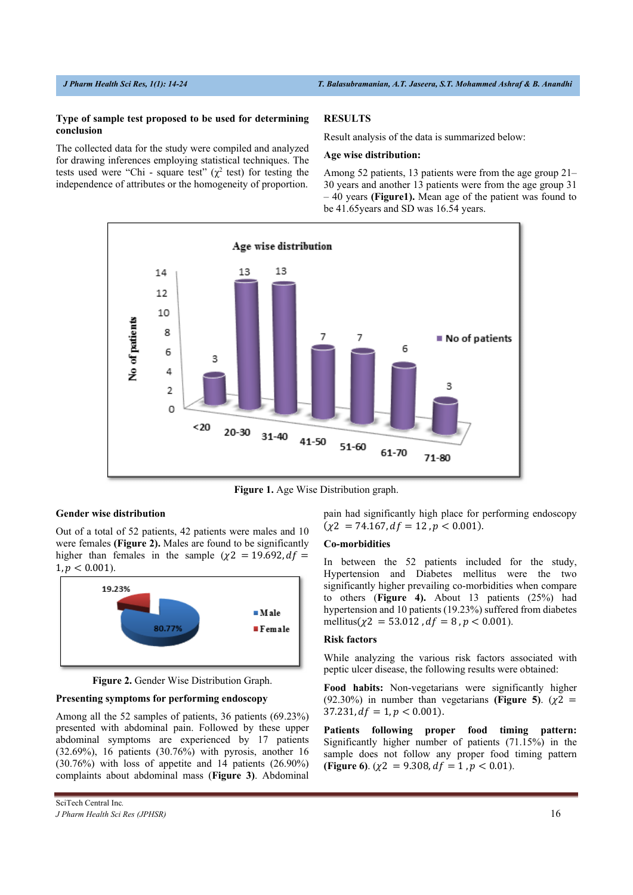## **Type of sample test proposed to be used for determining conclusion**

The collected data for the study were compiled and analyzed for drawing inferences employing statistical techniques. The tests used were "Chi - square test" ( $\chi^2$  test) for testing the independence of attributes or the homogeneity of proportion.

# **RESULTS**

Result analysis of the data is summarized below:

# **Age wise distribution:**

Among 52 patients, 13 patients were from the age group 21– 30 years and another 13 patients were from the age group 31 – 40 years **(Figure1).** Mean age of the patient was found to be 41.65years and SD was 16.54 years.



**Figure 1.** Age Wise Distribution graph.

# **Gender wise distribution**

Out of a total of 52 patients, 42 patients were males and 10 were females **(Figure 2).** Males are found to be significantly higher than females in the sample ( $\chi$ 2 = 19.692, df =  $1, p < 0.001$ .



**Figure 2.** Gender Wise Distribution Graph.

# **Presenting symptoms for performing endoscopy**

Among all the 52 samples of patients, 36 patients (69.23%) presented with abdominal pain. Followed by these upper abdominal symptoms are experienced by 17 patients (32.69%), 16 patients (30.76%) with pyrosis, another 16 (30.76%) with loss of appetite and 14 patients (26.90%) complaints about abdominal mass (**Figure 3)**. Abdominal pain had significantly high place for performing endoscopy  $(\chi^2 = 74.167, df = 12, p < 0.001).$ 

# **Co-morbidities**

In between the 52 patients included for the study, Hypertension and Diabetes mellitus were the two significantly higher prevailing co-morbidities when compare to others (**Figure 4).** About 13 patients (25%) had hypertension and 10 patients (19.23%) suffered from diabetes mellitus( $\chi$ 2 = 53.012,  $df = 8$ ,  $p < 0.001$ ).

#### **Risk factors**

While analyzing the various risk factors associated with peptic ulcer disease, the following results were obtained:

**Food habits:** Non-vegetarians were significantly higher (92.30%) in number than vegetarians (Figure 5).  $(\chi^2 =$  $37.231, df = 1, p < 0.001$ .

**Patients following proper food timing pattern:** Significantly higher number of patients (71.15%) in the sample does not follow any proper food timing pattern **(Figure 6).** ( $\chi$ 2 = 9.308,  $df$  = 1,  $p$  < 0.01).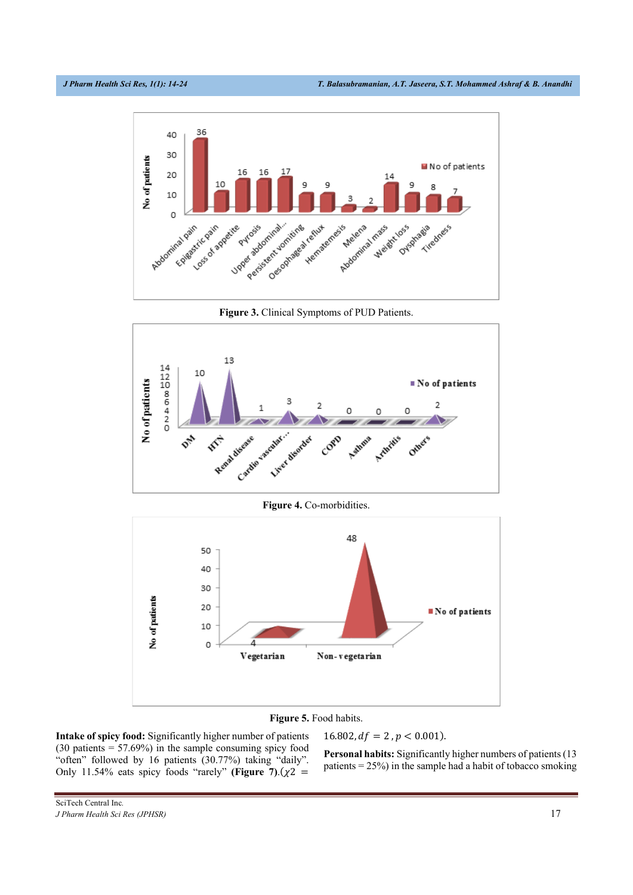

**Figure 3.** Clinical Symptoms of PUD Patients.



**Figure 4.** Co-morbidities.



# **Figure 5.** Food habits.

**Intake of spicy food:** Significantly higher number of patients  $(30 \text{ patients} = 57.69\%)$  in the sample consuming spicy food "often" followed by 16 patients (30.77%) taking "daily". Only 11.54% eats spicy foods "rarely" **(Figure 7)**. $(\chi^2$  =

**Personal habits:** Significantly higher numbers of patients (13 patients  $= 25\%$ ) in the sample had a habit of tobacco smoking

 $16.802, df = 2, p < 0.001$ .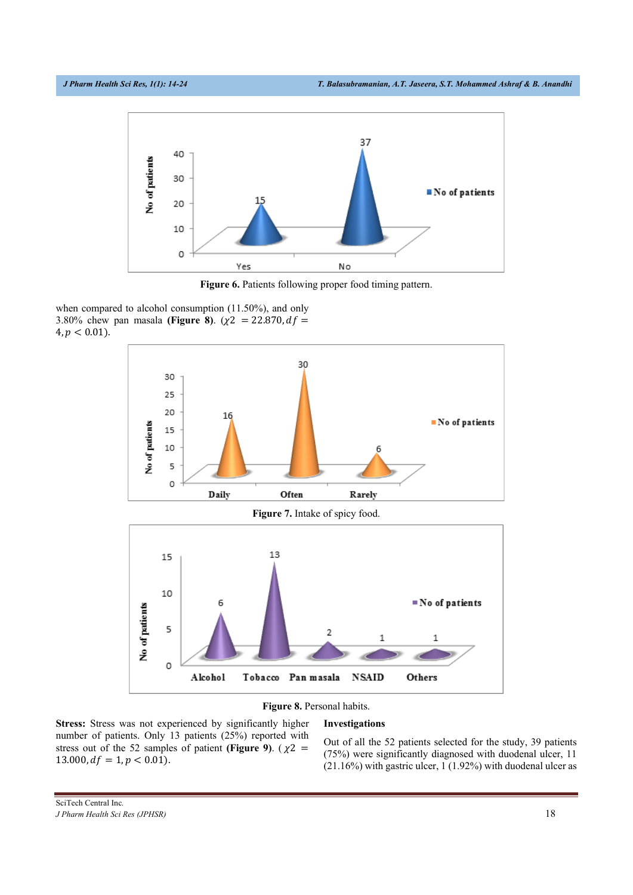

**Figure 6.** Patients following proper food timing pattern.

when compared to alcohol consumption (11.50%), and only 3.80% chew pan masala **(Figure 8)**.  $(\chi^2 = 22.870, df =$  $4, p < 0.01$ .



**Figure 8.** Personal habits.

**Stress:** Stress was not experienced by significantly higher number of patients. Only 13 patients (25%) reported with stress out of the 52 samples of patient **(Figure 9)**. ( $\chi$ 2 =  $13.000, df = 1, p < 0.01$ .

# **Investigations**

Out of all the 52 patients selected for the study, 39 patients (75%) were significantly diagnosed with duodenal ulcer, 11 (21.16%) with gastric ulcer, 1 (1.92%) with duodenal ulcer as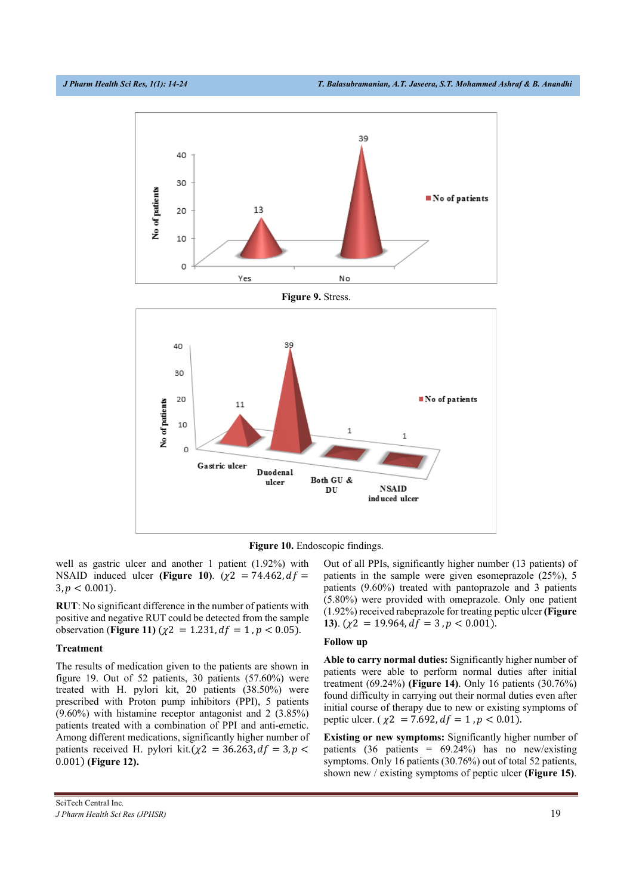

**Figure 10.** Endoscopic findings.

well as gastric ulcer and another 1 patient (1.92%) with NSAID induced ulcer **(Figure 10).**  $(\chi^2) = 74.462$ ,  $df =$  $3, p < 0.001$ ).

**RUT**: No significant difference in the number of patients with positive and negative RUT could be detected from the sample observation (**Figure 11**) ( $\chi$ 2 = 1.231,  $df$  = 1,  $p$  < 0.05).

#### **Treatment**

The results of medication given to the patients are shown in figure 19. Out of 52 patients, 30 patients (57.60%) were treated with H. pylori kit, 20 patients (38.50%) were prescribed with Proton pump inhibitors (PPI), 5 patients (9.60%) with histamine receptor antagonist and 2 (3.85%) patients treated with a combination of PPI and anti-emetic. Among different medications, significantly higher number of patients received H. pylori kit. $(\chi^2 = 36.263, df = 3, p <$ 0.001) (Figure 12).

Out of all PPIs, significantly higher number (13 patients) of patients in the sample were given esomeprazole (25%), 5 patients (9.60%) treated with pantoprazole and 3 patients (5.80%) were provided with omeprazole. Only one patient (1.92%) received rabeprazole for treating peptic ulcer **(Figure 13**).  $(\chi^2 = 19.964, df = 3, p < 0.001)$ .

#### **Follow up**

**Able to carry normal duties:** Significantly higher number of patients were able to perform normal duties after initial treatment (69.24%) **(Figure 14)**. Only 16 patients (30.76%) found difficulty in carrying out their normal duties even after initial course of therapy due to new or existing symptoms of peptic ulcer. ( $\chi$ 2 = 7.692,  $df = 1$ ,  $p < 0.01$ ).

**Existing or new symptoms:** Significantly higher number of patients (36 patients = 69.24%) has no new/existing symptoms. Only 16 patients (30.76%) out of total 52 patients, shown new / existing symptoms of peptic ulcer **(Figure 15)**.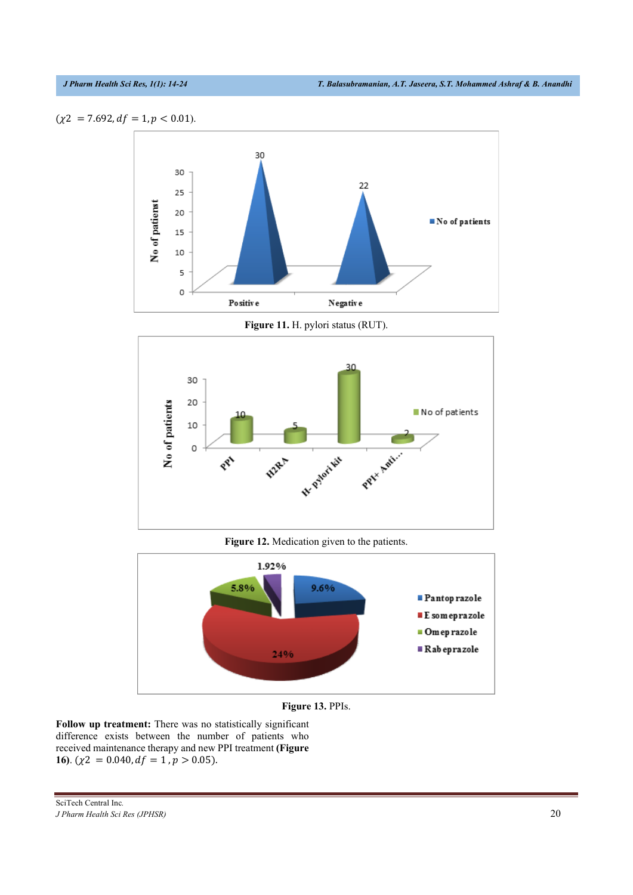



Figure 11. H. pylori status (RUT).



Figure 12. Medication given to the patients.



Figure 13. PPIs.

Follow up treatment: There was no statistically significant difference exists between the number of patients who received maintenance therapy and new PPI treatment (Figure 16).  $(\chi^2 = 0.040, df = 1, p > 0.05)$ .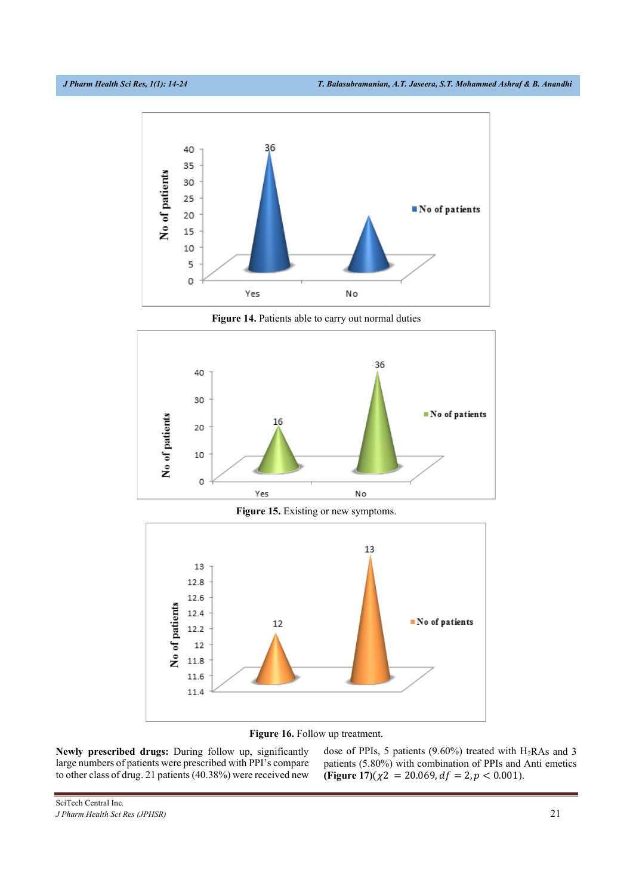

Figure 14. Patients able to carry out normal duties



Figure 15. Existing or new symptoms.



Figure 16. Follow up treatment.

Newly prescribed drugs: During follow up, significantly large numbers of patients were prescribed with PPI's compare to other class of drug. 21 patients (40.38%) were received new dose of PPIs, 5 patients (9.60%) treated with  $H_2RAs$  and 3 patients (5.80%) with combination of PPIs and Anti emetics (Figure 17)( $\chi$ 2 = 20.069,  $df$  = 2,  $p$  < 0.001).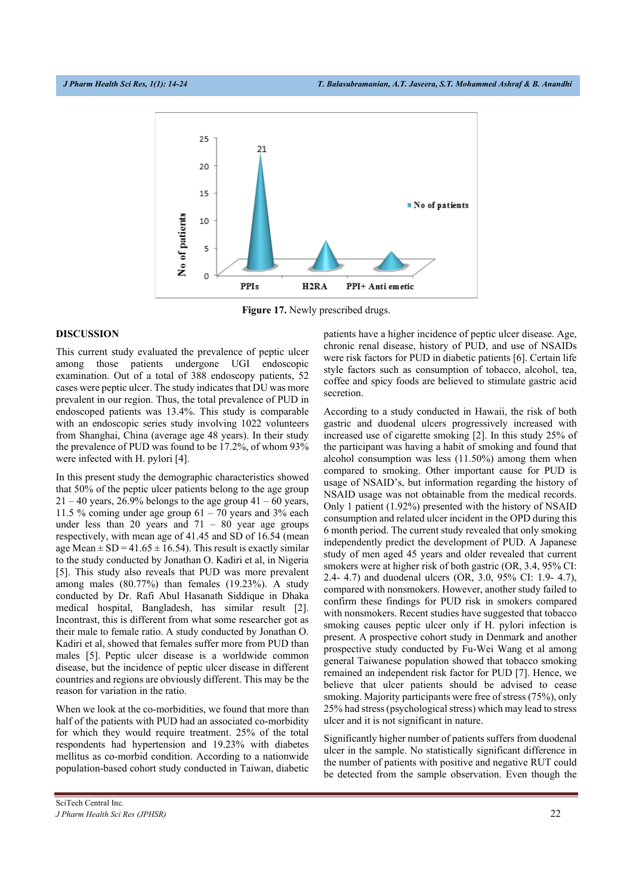

**Figure 17.** Newly prescribed drugs.

### **DISCUSSION**

This current study evaluated the prevalence of peptic ulcer among those patients undergone UGI endoscopic examination. Out of a total of 388 endoscopy patients, 52 cases were peptic ulcer. The study indicates that DU was more prevalent in our region. Thus, the total prevalence of PUD in endoscoped patients was 13.4%. This study is comparable with an endoscopic series study involving 1022 volunteers from Shanghai, China (average age 48 years). In their study the prevalence of PUD was found to be 17.2%, of whom 93% were infected with H. pylori [4].

In this present study the demographic characteristics showed that 50% of the peptic ulcer patients belong to the age group  $21 - 40$  years, 26.9% belongs to the age group  $41 - 60$  years, 11.5 % coming under age group  $61 - 70$  years and 3% each under less than 20 years and  $71 - 80$  year age groups respectively, with mean age of 41.45 and SD of 16.54 (mean age Mean  $\pm$  SD = 41.65  $\pm$  16.54). This result is exactly similar to the study conducted by Jonathan O. Kadiri et al, in Nigeria [5]. This study also reveals that PUD was more prevalent among males (80.77%) than females (19.23%). A study conducted by Dr. Rafi Abul Hasanath Siddique in Dhaka medical hospital, Bangladesh, has similar result [2]. Incontrast, this is different from what some researcher got as their male to female ratio. A study conducted by Jonathan O. Kadiri et al, showed that females suffer more from PUD than males [5]. Peptic ulcer disease is a worldwide common disease, but the incidence of peptic ulcer disease in different countries and regions are obviously different. This may be the reason for variation in the ratio.

When we look at the co-morbidities, we found that more than half of the patients with PUD had an associated co-morbidity for which they would require treatment. 25% of the total respondents had hypertension and 19.23% with diabetes mellitus as co-morbid condition. According to a nationwide population-based cohort study conducted in Taiwan, diabetic patients have a higher incidence of peptic ulcer disease. Age, chronic renal disease, history of PUD, and use of NSAIDs were risk factors for PUD in diabetic patients [6]. Certain life style factors such as consumption of tobacco, alcohol, tea, coffee and spicy foods are believed to stimulate gastric acid secretion.

According to a study conducted in Hawaii, the risk of both gastric and duodenal ulcers progressively increased with increased use of cigarette smoking [2]. In this study 25% of the participant was having a habit of smoking and found that alcohol consumption was less (11.50%) among them when compared to smoking. Other important cause for PUD is usage of NSAID's, but information regarding the history of NSAID usage was not obtainable from the medical records. Only 1 patient (1.92%) presented with the history of NSAID consumption and related ulcer incident in the OPD during this 6 month period. The current study revealed that only smoking independently predict the development of PUD. A Japanese study of men aged 45 years and older revealed that current smokers were at higher risk of both gastric (OR, 3.4, 95% CI: 2.4- 4.7) and duodenal ulcers (OR, 3.0, 95% CI: 1.9- 4.7), compared with nonsmokers. However, another study failed to confirm these findings for PUD risk in smokers compared with nonsmokers. Recent studies have suggested that tobacco smoking causes peptic ulcer only if H. pylori infection is present. A prospective cohort study in Denmark and another prospective study conducted by Fu-Wei Wang et al among general Taiwanese population showed that tobacco smoking remained an independent risk factor for PUD [7]. Hence, we believe that ulcer patients should be advised to cease smoking. Majority participants were free of stress (75%), only 25% had stress (psychological stress) which may lead to stress ulcer and it is not significant in nature.

Significantly higher number of patients suffers from duodenal ulcer in the sample. No statistically significant difference in the number of patients with positive and negative RUT could be detected from the sample observation. Even though the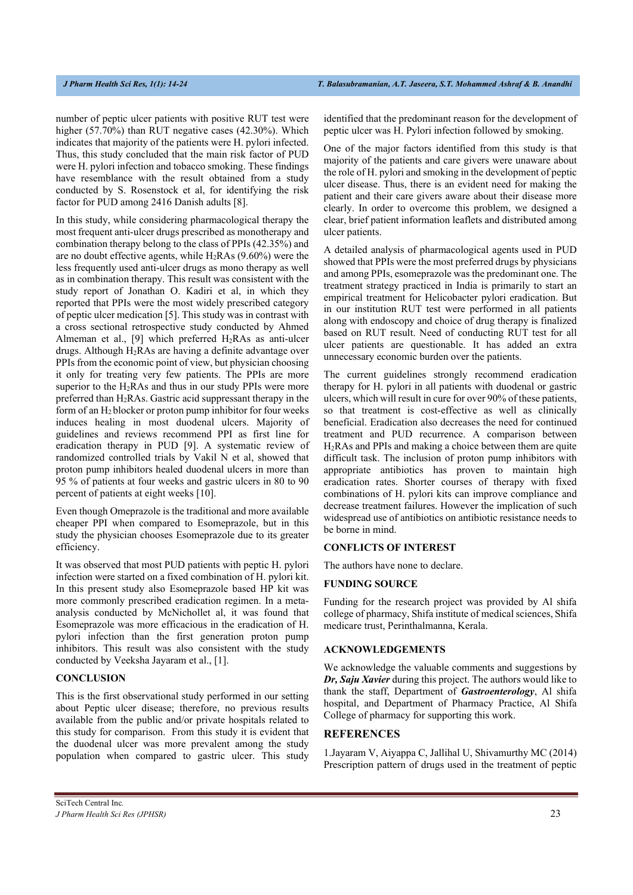number of peptic ulcer patients with positive RUT test were higher (57.70%) than RUT negative cases (42.30%). Which indicates that majority of the patients were H. pylori infected. Thus, this study concluded that the main risk factor of PUD were H. pylori infection and tobacco smoking. These findings have resemblance with the result obtained from a study conducted by S. Rosenstock et al, for identifying the risk factor for PUD among 2416 Danish adults [8].

In this study, while considering pharmacological therapy the most frequent anti-ulcer drugs prescribed as monotherapy and combination therapy belong to the class of PPIs (42.35%) and are no doubt effective agents, while  $H_2RAs$  (9.60%) were the less frequently used anti-ulcer drugs as mono therapy as well as in combination therapy. This result was consistent with the study report of Jonathan O. Kadiri et al, in which they reported that PPIs were the most widely prescribed category of peptic ulcer medication [5]. This study was in contrast with a cross sectional retrospective study conducted by Ahmed Almeman et al., [9] which preferred  $H_2RAs$  as anti-ulcer drugs. Although H2RAs are having a definite advantage over PPIs from the economic point of view, but physician choosing it only for treating very few patients. The PPIs are more superior to the  $H_2RAs$  and thus in our study PPIs were more preferred than  $H_2RAs$ . Gastric acid suppressant therapy in the form of an  $H_2$  blocker or proton pump inhibitor for four weeks induces healing in most duodenal ulcers. Majority of guidelines and reviews recommend PPI as first line for eradication therapy in PUD [9]. A systematic review of randomized controlled trials by Vakil N et al, showed that proton pump inhibitors healed duodenal ulcers in more than 95 % of patients at four weeks and gastric ulcers in 80 to 90 percent of patients at eight weeks [10].

Even though Omeprazole is the traditional and more available cheaper PPI when compared to Esomeprazole, but in this study the physician chooses Esomeprazole due to its greater efficiency.

It was observed that most PUD patients with peptic H. pylori infection were started on a fixed combination of H. pylori kit. In this present study also Esomeprazole based HP kit was more commonly prescribed eradication regimen. In a metaanalysis conducted by McNichollet al, it was found that Esomeprazole was more efficacious in the eradication of H. pylori infection than the first generation proton pump inhibitors. This result was also consistent with the study conducted by Veeksha Jayaram et al., [1].

# **CONCLUSION**

This is the first observational study performed in our setting about Peptic ulcer disease; therefore, no previous results available from the public and/or private hospitals related to this study for comparison. From this study it is evident that the duodenal ulcer was more prevalent among the study population when compared to gastric ulcer. This study identified that the predominant reason for the development of peptic ulcer was H. Pylori infection followed by smoking.

One of the major factors identified from this study is that majority of the patients and care givers were unaware about the role of H. pylori and smoking in the development of peptic ulcer disease. Thus, there is an evident need for making the patient and their care givers aware about their disease more clearly. In order to overcome this problem, we designed a clear, brief patient information leaflets and distributed among ulcer patients.

A detailed analysis of pharmacological agents used in PUD showed that PPIs were the most preferred drugs by physicians and among PPIs, esomeprazole was the predominant one. The treatment strategy practiced in India is primarily to start an empirical treatment for Helicobacter pylori eradication. But in our institution RUT test were performed in all patients along with endoscopy and choice of drug therapy is finalized based on RUT result. Need of conducting RUT test for all ulcer patients are questionable. It has added an extra unnecessary economic burden over the patients.

The current guidelines strongly recommend eradication therapy for H. pylori in all patients with duodenal or gastric ulcers, which will result in cure for over 90% of these patients, so that treatment is cost-effective as well as clinically beneficial. Eradication also decreases the need for continued treatment and PUD recurrence. A comparison between H2RAs and PPIs and making a choice between them are quite difficult task. The inclusion of proton pump inhibitors with appropriate antibiotics has proven to maintain high eradication rates. Shorter courses of therapy with fixed combinations of H. pylori kits can improve compliance and decrease treatment failures. However the implication of such widespread use of antibiotics on antibiotic resistance needs to be borne in mind.

## **CONFLICTS OF INTEREST**

The authors have none to declare.

#### **FUNDING SOURCE**

Funding for the research project was provided by Al shifa college of pharmacy, Shifa institute of medical sciences, Shifa medicare trust, Perinthalmanna, Kerala.

# **ACKNOWLEDGEMENTS**

We acknowledge the valuable comments and suggestions by *Dr, Saju Xavier* during this project. The authors would like to thank the staff, Department of *Gastroenterology*, Al shifa hospital, and Department of Pharmacy Practice, Al Shifa College of pharmacy for supporting this work.

# **REFERENCES**

1.Jayaram V, Aiyappa C, Jallihal U, Shivamurthy MC (2014) Prescription pattern of drugs used in the treatment of peptic